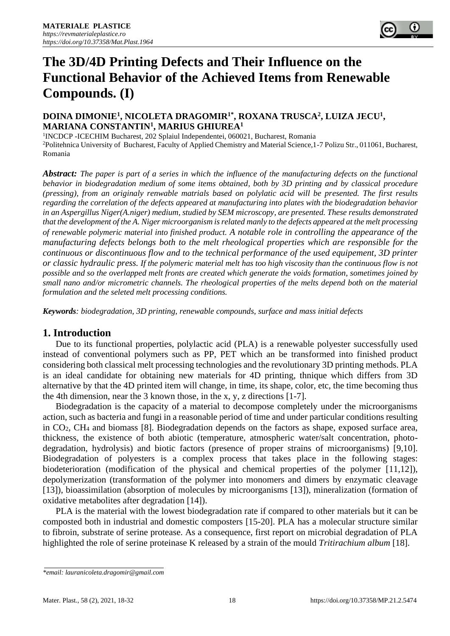# **The 3D/4D Printing Defects and Their Influence on the Functional Behavior of the Achieved Items from Renewable Compounds. (I)**

## **DOINA DIMONIE<sup>1</sup> , NICOLETA DRAGOMIR1\*, ROXANA TRUSCA<sup>2</sup> , LUIZA JECU<sup>1</sup> , MARIANA CONSTANTIN<sup>1</sup> , MARIUS GHIUREA<sup>1</sup>**

<sup>1</sup>INCDCP - ICECHIM Bucharest, 202 Splaiul Independentei, 060021, Bucharest, Romania <sup>2</sup>Politehnica University of Bucharest, Faculty of Applied Chemistry and Material Science, 1-7 Polizu Str., 011061, Bucharest, Romania

*Abstract: The paper is part of a series in which the influence of the manufacturing defects on the functional behavior in biodegradation medium of some items obtained, both by 3D printing and by classical procedure (pressing), from an originaly renwable matrials based on polylatic acid will be presented. The first results regarding the correlation of the defects appeared at manufacturing into plates with the biodegradation behavior in an Aspergillus Niger(A.niger) medium, studied by SEM microscopy, are presented. These results demonstrated that the development of the A. Niger microorganism is related manly to the defects appeared at the melt processing of renewable polymeric material into finished product. A notable role in controlling the appearance of the manufacturing defects belongs both to the melt rheological properties which are responsible for the continuous or discontinuous flow and to the technical performance of the used equipement, 3D printer or classic hydraulic press. If the polymeric material melt has too high viscosity than the continuous flow is not possible and so the overlapped melt fronts are created which generate the voids formation, sometimes joined by small nano and/or micrometric channels. The rheological properties of the melts depend both on the material formulation and the seleted melt processing conditions.*

*Keywords: biodegradation, 3D printing, renewable compounds, surface and mass initial defects*

## **1. Introduction**

Due to its functional properties, polylactic acid (PLA) is a renewable polyester successfully used instead of conventional polymers such as PP, PET which an be transformed into finished product considering both classical melt processing technologies and the revolutionary 3D printing methods. PLA is an ideal candidate for obtaining new materials for 4D printing, thnique which differs from 3D alternative by that the 4D printed item will change, in time, its shape, color, etc, the time becoming thus the 4th dimension, near the 3 known those, in the x, y, z directions [1-7].

Biodegradation is the capacity of a material to decompose completely under the microorganisms action, such as bacteria and fungi in a reasonable period of time and under particular conditions resulting in CO2, CH<sup>4</sup> and biomass [8]. Biodegradation depends on the factors as shape, exposed surface area, thickness, the existence of both abiotic (temperature, atmospheric water/salt concentration, photodegradation, hydrolysis) and biotic factors (presence of proper strains of microorganisms) [9,10]. Biodegradation of polyesters is a complex process that takes place in the following stages: biodeterioration (modification of the physical and chemical properties of the polymer [11,12]), depolymerization (transformation of the polymer into monomers and dimers by enzymatic cleavage [13]), bioassimilation (absorption of molecules by microorganisms [13]), mineralization (formation of oxidative metabolites after degradation [14]).

PLA is the material with the lowest biodegradation rate if compared to other materials but it can be composted both in industrial and domestic composters [15-20]. PLA has a molecular structure similar to fibroin, substrate of serine protease. As a consequence, first report on microbial degradation of PLA highlighted the role of serine proteinase K released by a strain of the mould *Tritirachium album* [18].

*<sup>\*</sup>email: lauranicoleta.dragomir@gmail.com*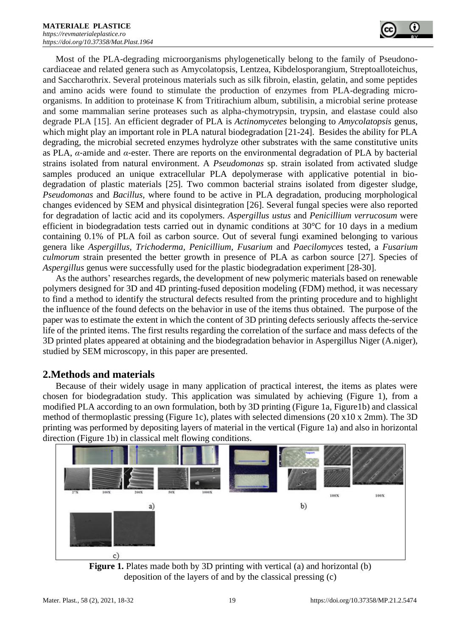

Most of the PLA-degrading microorganisms phylogenetically belong to the family of Pseudonocardiaceae and related genera such as Amycolatopsis, Lentzea, Kibdelosporangium, Streptoalloteichus, and Saccharothrix. Several proteinous materials such as silk fibroin, elastin, gelatin, and some peptides and amino acids were found to stimulate the production of enzymes from PLA-degrading microorganisms. In addition to proteinase K from Tritirachium album, subtilisin, a microbial serine protease and some mammalian serine proteases such as alpha-chymotrypsin, trypsin, and elastase could also degrade PLA [15]. An efficient degrader of PLA is *Actinomycetes* belonging to *Amycolatopsis* genus, which might play an important role in PLA natural biodegradation [21-24]. Besides the ability for PLA degrading, the microbial secreted enzymes hydrolyze other substrates with the same constitutive units as PLA,  $\alpha$ -amide and  $\alpha$ -ester. There are reports on the environmental degradation of PLA by bacterial strains isolated from natural environment. A *Pseudomonas* sp. strain isolated from activated sludge samples produced an unique extracellular PLA depolymerase with applicative potential in biodegradation of plastic materials [25]. Two common bacterial strains isolated from digester sludge, *Pseudomonas* and *Bacillus,* where found to be active in PLA degradation, producing morphological changes evidenced by SEM and physical disintegration [26]. Several fungal species were also reported for degradation of lactic acid and its copolymers. *Aspergillus ustus* and *Penicillium verrucosum* were efficient in biodegradation tests carried out in dynamic conditions at  $30^{\circ}$ C for 10 days in a medium containing 0.1% of PLA foil as carbon source. Out of several fungi examined belonging to various genera like *Aspergillus, Trichoderma, Penicillium, Fusarium* and *Paecilomyces* tested, a *Fusarium culmorum* strain presented the better growth in presence of PLA as carbon source [27]. Species of *Aspergillus* genus were successfully used for the plastic biodegradation experiment [28-30].

As the authors' researches regards, the development of new polymeric materials based on renewable polymers designed for 3D and 4D printing-fused deposition modeling (FDM) method, it was necessary to find a method to identify the structural defects resulted from the printing procedure and to highlight the influence of the found defects on the behavior in use of the items thus obtained. The purpose of the paper was to estimate the extent in which the content of 3D printing defects seriously affects the-service life of the printed items. The first results regarding the correlation of the surface and mass defects of the 3D printed plates appeared at obtaining and the biodegradation behavior in Aspergillus Niger (A.niger), studied by SEM microscopy, in this paper are presented.

## **2.Methods and materials**

Because of their widely usage in many application of practical interest, the items as plates were chosen for biodegradation study. This application was simulated by achieving (Figure 1), from a modified PLA according to an own formulation, both by 3D printing (Figure 1a, Figure1b) and classical method of thermoplastic pressing (Figure 1c), plates with selected dimensions (20 x10 x 2mm). The 3D printing was performed by depositing layers of material in the vertical (Figure 1a) and also in horizontal direction (Figure 1b) in classical melt flowing conditions.



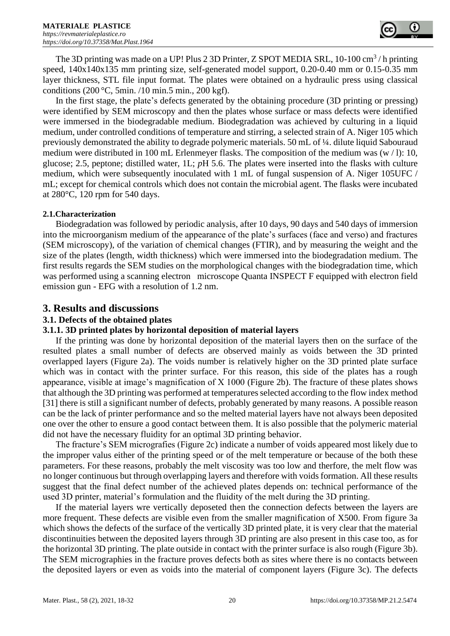

The 3D printing was made on a UP! Plus 2 3D Printer, Z SPOT MEDIA SRL, 10-100 cm<sup>3</sup>/h printing speed, 140x140x135 mm printing size, self-generated model support, 0.20-0.40 mm or 0.15-0.35 mm layer thickness, STL file input format. The plates were obtained on a hydraulic press using classical conditions (200 °C, 5min. /10 min.5 min., 200 kgf).

In the first stage, the plate's defects generated by the obtaining procedure (3D printing or pressing) were identified by SEM microscopy and then the plates whose surface or mass defects were identified were immersed in the biodegradable medium. Biodegradation was achieved by culturing in a liquid medium, under controlled conditions of temperature and stirring, a selected strain of A. Niger 105 which previously demonstrated the ability to degrade polymeric materials. 50 mL of ¼. dilute liquid Sabouraud medium were distributed in 100 mL Erlenmeyer flasks. The composition of the medium was (w / l): 10, glucose; 2.5, peptone; distilled water, 1L; *p*H 5.6. The plates were inserted into the flasks with culture medium, which were subsequently inoculated with 1 mL of fungal suspension of A. Niger 105UFC / mL; except for chemical controls which does not contain the microbial agent. The flasks were incubated at 280°C, 120 rpm for 540 days.

#### **2.1.Characterization**

Biodegradation was followed by periodic analysis, after 10 days, 90 days and 540 days of immersion into the microorganism medium of the appearance of the plate's surfaces (face and verso) and fractures (SEM microscopy), of the variation of chemical changes (FTIR), and by measuring the weight and the size of the plates (length, width thickness) which were immersed into the biodegradation medium. The first results regards the SEM studies on the morphological changes with the biodegradation time, which was performed using a scanning electron microscope Quanta INSPECT F equipped with electron field emission gun - EFG with a resolution of 1.2 nm.

#### **3. Results and discussions**

#### **3.1. Defects of the obtained plates**

#### **3.1.1. 3D printed plates by horizontal deposition of material layers**

If the printing was done by horizontal deposition of the material layers then on the surface of the resulted plates a small number of defects are observed mainly as voids between the 3D printed overlapped layers (Figure 2a). The voids number is relatively higher on the 3D printed plate surface which was in contact with the printer surface. For this reason, this side of the plates has a rough appearance, visible at image's magnification of X 1000 (Figure 2b). The fracture of these plates shows that although the 3D printing was performed at temperatures selected according to the flow index method [31] there is still a significant number of defects, probably generated by many reasons. A possible reason can be the lack of printer performance and so the melted material layers have not always been deposited one over the other to ensure a good contact between them. It is also possible that the polymeric material did not have the necessary fluidity for an optimal 3D printing behavior.

The fracture's SEM micrografies (Figure 2c) indicate a number of voids appeared most likely due to the improper valus either of the printing speed or of the melt temperature or because of the both these parameters. For these reasons, probably the melt viscosity was too low and therfore, the melt flow was no longer continuous but through overlapping layers and therefore with voids formation. All these results suggest that the final defect number of the achieved plates depends on: technical performance of the used 3D printer, material's formulation and the fluidity of the melt during the 3D printing.

If the material layers wre vertically deposeted then the connection defects between the layers are more frequent. These defects are visible even from the smaller magnification of X500. From figure 3a which shows the defects of the surface of the vertically 3D printed plate, it is very clear that the material discontinuities between the deposited layers through 3D printing are also present in this case too, as for the horizontal 3D printing. The plate outside in contact with the printer surface is also rough (Figure 3b). The SEM micrographies in the fracture proves defects both as sites where there is no contacts between the deposited layers or even as voids into the material of component layers (Figure 3c). The defects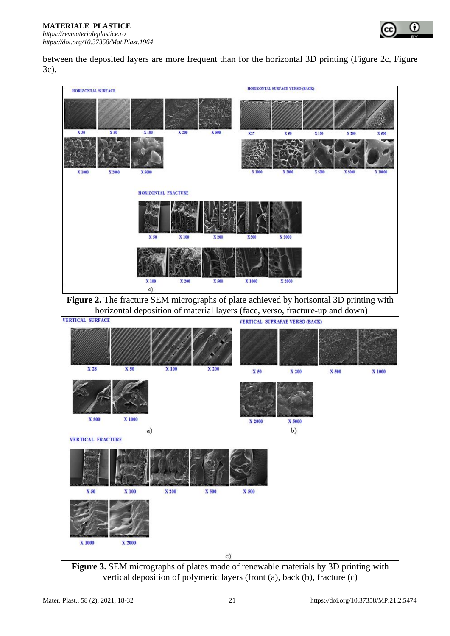

between the deposited layers are more frequent than for the horizontal 3D printing (Figure 2c, Figure 3c).



**Figure 2.** The fracture SEM micrographs of plate achieved by horisontal 3D printing with horizontal deposition of material layers (face, verso, fracture-up and down)



**Figure 3.** SEM micrographs of plates made of renewable materials by 3D printing with vertical deposition of polymeric layers (front (a), back (b), fracture (c)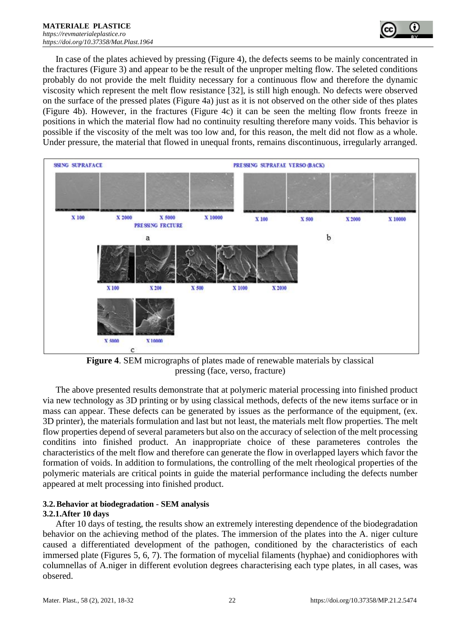

In case of the plates achieved by pressing (Figure 4), the defects seems to be mainly concentrated in the fractures (Figure 3) and appear to be the result of the unproper melting flow. The seleted conditions probably do not provide the melt fluidity necessary for a continuous flow and therefore the dynamic viscosity which represent the melt flow resistance [32], is still high enough. No defects were observed on the surface of the pressed plates (Figure 4a) just as it is not observed on the other side of thes plates (Figure 4b). However, in the fractures (Figure 4c) it can be seen the melting flow fronts freeze in positions in which the material flow had no continuity resulting therefore many voids. This behavior is possible if the viscosity of the melt was too low and, for this reason, the melt did not flow as a whole. Under pressure, the material that flowed in unequal fronts, remains discontinuous, irregularly arranged.



**Figure 4**. SEM micrographs of plates made of renewable materials by classical pressing (face, verso, fracture)

The above presented results demonstrate that at polymeric material processing into finished product via new technology as 3D printing or by using classical methods, defects of the new items surface or in mass can appear. These defects can be generated by issues as the performance of the equipment, (ex. 3D printer), the materials formulation and last but not least, the materials melt flow properties. The melt flow properties depend of several parameters but also on the accuracy of selection of the melt processing conditins into finished product. An inappropriate choice of these parameteres controles the characteristics of the melt flow and therefore can generate the flow in overlapped layers which favor the formation of voids. In addition to formulations, the controlling of the melt rheological properties of the polymeric materials are critical points in guide the material performance including the defects number appeared at melt processing into finished product.

#### **3.2.Behavior at biodegradation - SEM analysis**

#### **3.2.1.After 10 days**

After 10 days of testing, the results show an extremely interesting dependence of the biodegradation behavior on the achieving method of the plates. The immersion of the plates into the A. niger culture caused a differentiated development of the pathogen, conditioned by the characteristics of each immersed plate (Figures 5, 6, 7). The formation of mycelial filaments (hyphae) and conidiophores with columnellas of A.niger in different evolution degrees characterising each type plates, in all cases, was obsered.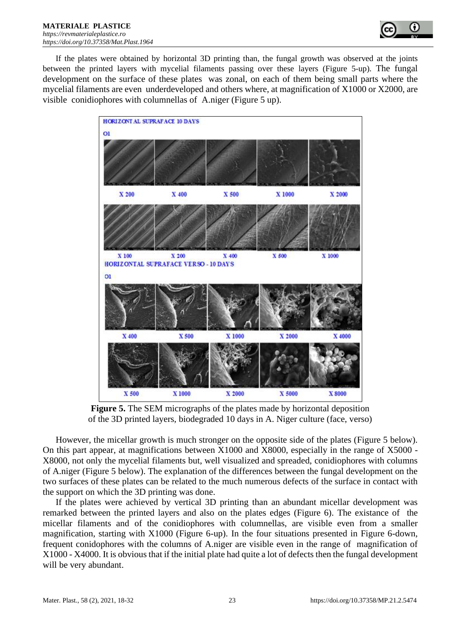

If the plates were obtained by horizontal 3D printing than, the fungal growth was observed at the joints between the printed layers with mycelial filaments passing over these layers (Figure 5-up). The fungal development on the surface of these plates was zonal, on each of them being small parts where the mycelial filaments are even underdeveloped and others where, at magnification of X1000 or X2000, are visible conidiophores with columnellas of A.niger (Figure 5 up).



**Figure 5.** The SEM micrographs of the plates made by horizontal deposition of the 3D printed layers, biodegraded 10 days in A. Niger culture (face, verso)

However, the micellar growth is much stronger on the opposite side of the plates (Figure 5 below). On this part appear, at magnifications between X1000 and X8000, especially in the range of X5000 - X8000, not only the mycelial filaments but, well visualized and spreaded, conidiophores with columns of A.niger (Figure 5 below). The explanation of the differences between the fungal development on the two surfaces of these plates can be related to the much numerous defects of the surface in contact with the support on which the 3D printing was done.

If the plates were achieved by vertical 3D printing than an abundant micellar development was remarked between the printed layers and also on the plates edges (Figure 6). The existance of the micellar filaments and of the conidiophores with columnellas, are visible even from a smaller magnification, starting with X1000 (Figure 6-up). In the four situations presented in Figure 6-down, frequent conidophores with the columns of A.niger are visible even in the range of magnification of X1000 - X4000. It is obvious that if the initial plate had quite a lot of defects then the fungal development will be very abundant.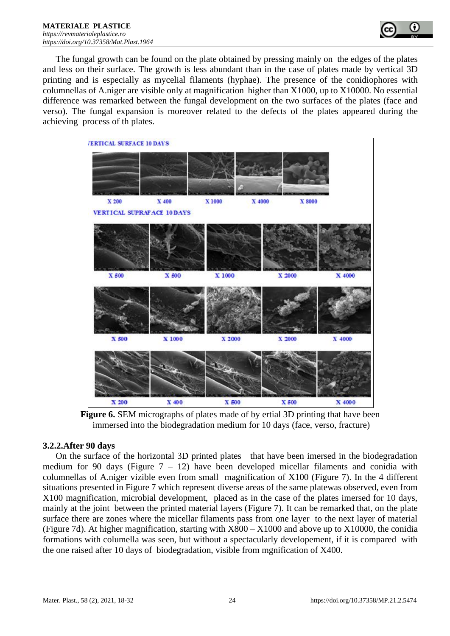

The fungal growth can be found on the plate obtained by pressing mainly on the edges of the plates and less on their surface. The growth is less abundant than in the case of plates made by vertical 3D printing and is especially as mycelial filaments (hyphae). The presence of the conidiophores with columnellas of A.niger are visible only at magnification higher than X1000, up to X10000. No essential difference was remarked between the fungal development on the two surfaces of the plates (face and verso). The fungal expansion is moreover related to the defects of the plates appeared during the achieving process of th plates.



**Figure 6.** SEM micrographs of plates made of by ertial 3D printing that have been immersed into the biodegradation medium for 10 days (face, verso, fracture)

#### **3.2.2.After 90 days**

On the surface of the horizontal 3D printed plates that have been imersed in the biodegradation medium for 90 days (Figure  $7 - 12$ ) have been developed micellar filaments and conidia with columnellas of A.niger vizible even from small magnification of X100 (Figure 7). In the 4 different situations presented in Figure 7 which represent diverse areas of the same platewas observed, even from X100 magnification, microbial development, placed as in the case of the plates imersed for 10 days, mainly at the joint between the printed material layers (Figure 7). It can be remarked that, on the plate surface there are zones where the micellar filaments pass from one layer to the next layer of material (Figure 7d). At higher magnification, starting with X800 – X1000 and above up to X10000, the conidia formations with columella was seen, but without a spectacularly developement, if it is compared with the one raised after 10 days of biodegradation, visible from mgnification of X400.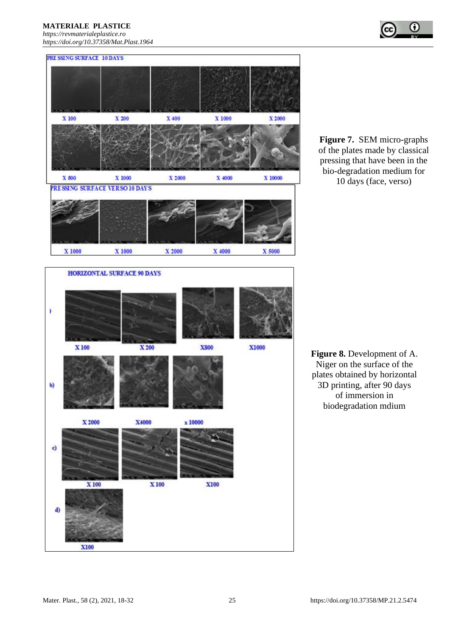#### **MATERIALE PLASTICE**

*[https://revmaterialeplastice.ro](https://revmaterialeplastice.ro/) https://doi.org/10.37358/Mat.Plast.1964*



**Figure 7.** SEM micro-graphs of the plates made by classical pressing that have been in the bio-degradation medium for 10 days (face, verso)

**Figure 8.** Development of A. Niger on the surface of the plates obtained by horizontal 3D printing, after 90 days of immersion in biodegradation mdium

**X100** 

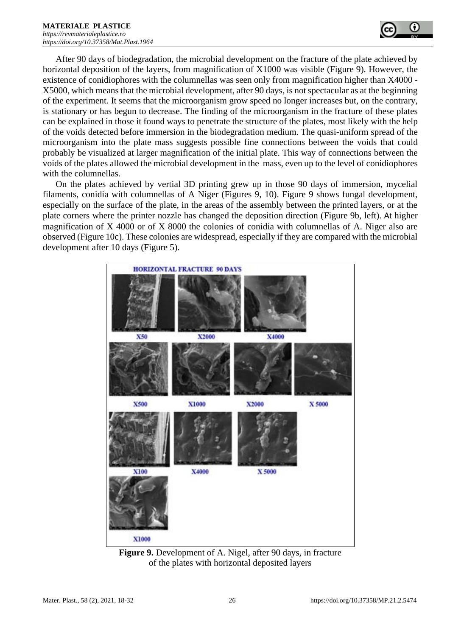

After 90 days of biodegradation, the microbial development on the fracture of the plate achieved by horizontal deposition of the layers, from magnification of X1000 was visible (Figure 9). However, the existence of conidiophores with the columnellas was seen only from magnification higher than X4000 - X5000, which means that the microbial development, after 90 days, is not spectacular as at the beginning of the experiment. It seems that the microorganism grow speed no longer increases but, on the contrary, is stationary or has begun to decrease. The finding of the microorganism in the fracture of these plates can be explained in those it found ways to penetrate the structure of the plates, most likely with the help of the voids detected before immersion in the biodegradation medium. The quasi-uniform spread of the microorganism into the plate mass suggests possible fine connections between the voids that could probably be visualized at larger magnification of the initial plate. This way of connections between the voids of the plates allowed the microbial development in the mass, even up to the level of conidiophores with the columnellas.

On the plates achieved by vertial 3D printing grew up in those 90 days of immersion, mycelial filaments, conidia with columnellas of A Niger (Figures 9, 10). Figure 9 shows fungal development, especially on the surface of the plate, in the areas of the assembly between the printed layers, or at the plate corners where the printer nozzle has changed the deposition direction (Figure 9b, left). At higher magnification of X 4000 or of X 8000 the colonies of conidia with columnellas of A. Niger also are observed (Figure 10c). These colonies are widespread, especially if they are compared with the microbial development after 10 days (Figure 5).



**Figure 9.** Development of A. Nigel, after 90 days, in fracture of the plates with horizontal deposited layers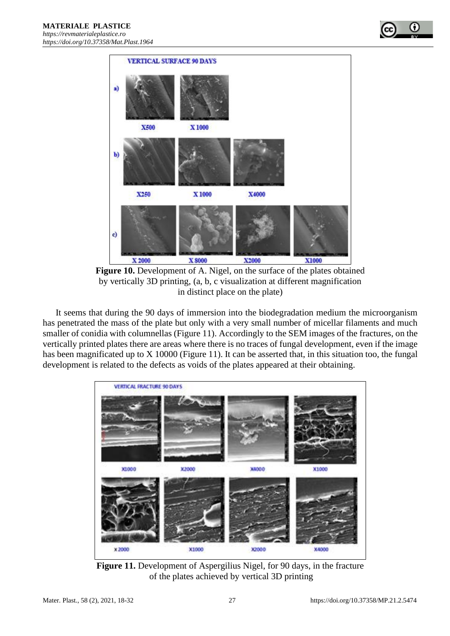

**Figure 10.** Development of A. Nigel, on the surface of the plates obtained by vertically 3D printing, (a, b, c visualization at different magnification in distinct place on the plate)

It seems that during the 90 days of immersion into the biodegradation medium the microorganism has penetrated the mass of the plate but only with a very small number of micellar filaments and much smaller of conidia with columnellas (Figure 11). Accordingly to the SEM images of the fractures, on the vertically printed plates there are areas where there is no traces of fungal development, even if the image has been magnificated up to X 10000 (Figure 11). It can be asserted that, in this situation too, the fungal development is related to the defects as voids of the plates appeared at their obtaining.



**Figure 11.** Development of Aspergilius Nigel, for 90 days, in the fracture of the plates achieved by vertical 3D printing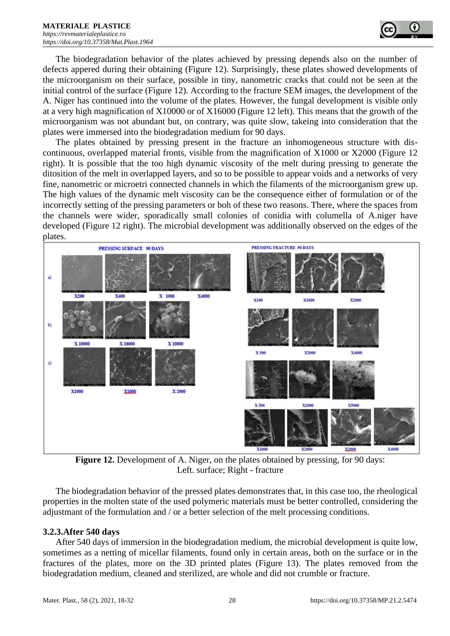

The biodegradation behavior of the plates achieved by pressing depends also on the number of defects appered during their obtaining (Figure 12). Surprisingly, these plates showed developments of the microorganism on their surface, possible in tiny, nanometric cracks that could not be seen at the initial control of the surface (Figure 12). According to the fracture SEM images, the development of the A. Niger has continued into the volume of the plates. However, the fungal development is visible only at a very high magnification of X10000 or of X16000 (Figure 12 left). This means that the growth of the microorganism was not abundant but, on contrary, was quite slow, takeing into consideration that the plates were immersed into the biodegradation medium for 90 days.

The plates obtained by pressing present in the fracture an inhomogeneous structure with discontinuous, overlapped material fronts, visible from the magnification of X1000 or X2000 (Figure 12 right). It is possible that the too high dynamic viscosity of the melt during pressing to generate the ditosition of the melt in overlapped layers, and so to be possible to appear voids and a networks of very fine, nanometric or microetri connected channels in which the filaments of the microorganism grew up. The high values of the dynamic melt viscosity can be the consequence either of formulation or of the incorrectly setting of the pressing parameters or boh of these two reasons. There, where the spaces from the channels were wider, sporadically small colonies of conidia with columella of A.niger have developed (Figure 12 right). The microbial development was additionally observed on the edges of the plates.



**Figure 12.** Development of A. Niger, on the plates obtained by pressing, for 90 days: Left. surface; Right - fracture

The biodegradation behavior of the pressed plates demonstrates that, in this case too, the rheological properties in the molten state of the used polymeric materials must be better controlled, considering the adjustmant of the formulation and / or a better selection of the melt processing conditions.

#### **3.2.3.After 540 days**

After 540 days of immersion in the biodegradation medium, the microbial development is quite low, sometimes as a netting of micellar filaments, found only in certain areas, both on the surface or in the fractures of the plates, more on the 3D printed plates (Figure 13). The plates removed from the biodegradation medium, cleaned and sterilized, are whole and did not crumble or fracture.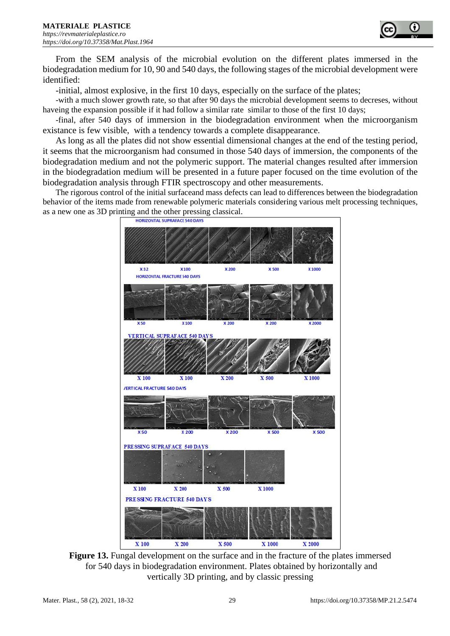

From the SEM analysis of the microbial evolution on the different plates immersed in the biodegradation medium for 10, 90 and 540 days, the following stages of the microbial development were identified:

-initial, almost explosive, in the first 10 days, especially on the surface of the plates;

-with a much slower growth rate, so that after 90 days the microbial development seems to decreses, without haveing the expansion possible if it had follow a similar rate similar to those of the first 10 days;

-final, after 540 days of immersion in the biodegradation environment when the microorganism existance is few visible, with a tendency towards a complete disappearance.

As long as all the plates did not show essential dimensional changes at the end of the testing period, it seems that the microorganism had consumed in those 540 days of immersion, the components of the biodegradation medium and not the polymeric support. The material changes resulted after immersion in the biodegradation medium will be presented in a future paper focused on the time evolution of the biodegradation analysis through FTIR spectroscopy and other measurements.

The rigorous control of the initial surfaceand mass defects can lead to differences between the biodegradation behavior of the items made from renewable polymeric materials considering various melt processing techniques, as a new one as 3D printing and the other pressing classical.



**Figure 13.** Fungal development on the surface and in the fracture of the plates immersed for 540 days in biodegradation environment. Plates obtained by horizontally and vertically 3D printing, and by classic pressing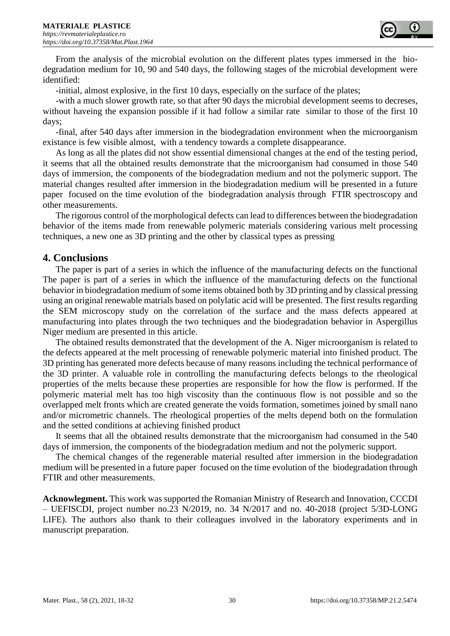

From the analysis of the microbial evolution on the different plates types immersed in the biodegradation medium for 10, 90 and 540 days, the following stages of the microbial development were identified:

-initial, almost explosive, in the first 10 days, especially on the surface of the plates;

-with a much slower growth rate, so that after 90 days the microbial development seems to decreses, without haveing the expansion possible if it had follow a similar rate similar to those of the first 10 days;

-final, after 540 days after immersion in the biodegradation environment when the microorganism existance is few visible almost, with a tendency towards a complete disappearance.

As long as all the plates did not show essential dimensional changes at the end of the testing period, it seems that all the obtained results demonstrate that the microorganism had consumed in those 540 days of immersion, the components of the biodegradation medium and not the polymeric support. The material changes resulted after immersion in the biodegradation medium will be presented in a future paper focused on the time evolution of the biodegradation analysis through FTIR spectroscopy and other measurements.

The rigorous control of the morphological defects can lead to differences between the biodegradation behavior of the items made from renewable polymeric materials considering various melt processing techniques, a new one as 3D printing and the other by classical types as pressing

#### **4. Conclusions**

The paper is part of a series in which the influence of the manufacturing defects on the functional The paper is part of a series in which the influence of the manufacturing defects on the functional behavior in biodegradation medium of some items obtained both by 3D printing and by classical pressing using an original renewable matrials based on polylatic acid will be presented. The first results regarding the SEM microscopy study on the correlation of the surface and the mass defects appeared at manufacturing into plates through the two techniques and the biodegradation behavior in Aspergillus Niger medium are presented in this article.

The obtained results demonstrated that the development of the A. Niger microorganism is related to the defects appeared at the melt processing of renewable polymeric material into finished product. The 3D printing has generated more defects because of many reasons including the technical performance of the 3D printer. A valuable role in controlling the manufacturing defects belongs to the rheological properties of the melts because these properties are responsible for how the flow is performed. If the polymeric material melt has too high viscosity than the continuous flow is not possible and so the overlapped melt fronts which are created generate the voids formation, sometimes joined by small nano and/or micrometric channels. The rheological properties of the melts depend both on the formulation and the setted conditions at achieving finished product

It seems that all the obtained results demonstrate that the microorganism had consumed in the 540 days of immersion, the components of the biodegradation medium and not the polymeric support.

The chemical changes of the regenerable material resulted after immersion in the biodegradation medium will be presented in a future paper focused on the time evolution of the biodegradation through FTIR and other measurements.

**Acknowlegment.** This work was supported the Romanian Ministry of Research and Innovation, CCCDI – UEFISCDI, project number no.23 N/2019, no. 34 N/2017 and no. 40-2018 (project 5/3D-LONG LIFE). The authors also thank to their colleagues involved in the laboratory experiments and in manuscript preparation.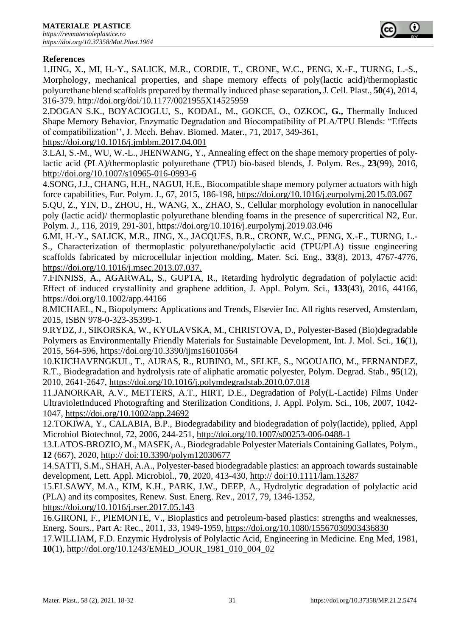### **References**

1.JING, X., MI, H.-Y., SALICK, M.R., CORDIE, T., CRONE, W.C., PENG, X.-F., TURNG, L.-S., Morphology, mechanical properties, and shape memory effects of poly(lactic acid)/thermoplastic polyurethane blend scaffolds prepared by thermally induced phase separation**,**J. Cell. Plast., **50**(4), 2014, 316-379. http://doi.org/doi/10.1177/0021955X14525959

2.DOGAN S.K., BOYACIOGLU, S., KODAL, M., GOKCE, O., OZKOC**, G.,** Thermally Induced Shape Memory Behavior, Enzymatic Degradation and Biocompatibility of PLA/TPU Blends: "Effects of compatibilization'', J. Mech. Behav. Biomed. Mater., 71, 2017, 349-361,

https://doi.org/10.1016/j.jmbbm.2017.04.001

3.LAI, S.-M., WU, W.-L., JHENWANG, Y., Annealing effect on the shape memory properties of polylactic acid (PLA)/thermoplastic polyurethane (TPU) bio-based blends, J. Polym. Res., **23**(99), 2016, http://doi.org/10.1007/s10965-016-0993-6

4.SONG, J.J., CHANG, H.H., NAGUI, H.E., Biocompatible shape memory polymer actuators with high force capabilities, Eur. Polym. J., 67, 2015, 186-198, https://doi.org/10.1016/j.eurpolymj.2015.03.067

5.QU, Z., YIN, D., ZHOU, H., WANG, X., ZHAO, S., Cellular morphology evolution in nanocellular poly (lactic acid)/ thermoplastic polyurethane blending foams in the presence of supercritical N2, Eur. Polym. J., 116, 2019, 291-301, https://doi.org/10.1016/j.eurpolymj.2019.03.046

6.MI, H.-Y., SALICK, M.R., JING, X., JACQUES, B.R., CRONE, W.C., PENG, X.-F., TURNG, L.- S., Characterization of thermoplastic polyurethane/polylactic acid (TPU/PLA) tissue engineering scaffolds fabricated by microcellular injection molding, Mater. Sci. Eng., **33**(8), 2013, 4767-4776, https://doi.org/10.1016/j.msec.2013.07.037.

7.FINNISS, A., AGARWAL, S., GUPTA, R., Retarding hydrolytic degradation of polylactic acid: Effect of induced crystallinity and graphene addition, J. Appl. Polym. Sci., **133**(43), 2016, 44166, https://doi.org/10.1002/app.44166

8.MICHAEL, N., Biopolymers: Applications and Trends, Elsevier Inc. All rights reserved, Amsterdam, 2015, ISBN 978-0-323-35399-1.

9.RYDZ, J., SIKORSKA, W., KYULAVSKA, M., CHRISTOVA, D., Polyester-Based (Bio)degradable Polymers as Environmentally Friendly Materials for Sustainable Development, Int. J. Mol. Sci., **16**(1), 2015, 564-596, https://doi.org/10.3390/ijms16010564

10.KIJCHAVENGKUL, T., AURAS, R., RUBINO, M., SELKE, S., NGOUAJIO, M., FERNANDEZ, R.T., Biodegradation and hydrolysis rate of aliphatic aromatic polyester, Polym. Degrad. Stab., **95**(12), 2010, 2641-2647, https://doi.org/10.1016/j.polymdegradstab.2010.07.018

11.JANORKAR, A.V., METTERS, A.T., HIRT, D.E., Degradation of Poly(L-Lactide) Films Under UltravioletInduced Photografting and Sterilization Conditions, J. Appl. Polym. Sci., 106, 2007, 1042- 1047, https://doi.org/10.1002/app.24692

12.TOKIWA, Y., CALABIA, B.P., Biodegradability and biodegradation of poly(lactide), pplied, Appl Microbiol Biotechnol, 72, 2006, 244-251,<http://doi.org/10.1007/s00253-006-0488-1>

13.LATOS-BROZIO, M., MASEK, A., Biodegradable Polyester Materials Containing Gallates, Polym., **12** (667), 2020, http:// doi:10.3390/polym12030677

14.SATTI, S.M., SHAH, A.A., Polyester-based biodegradable plastics: an approach towards sustainable development, Lett. Appl. Microbiol., **70**, 2020, 413-430, http:// doi:10.1111/lam.13287

15.ELSAWY, M.A., KIM, K.H., PARK, J.W., DEEP, A., Hydrolytic degradation of polylactic acid (PLA) and its composites, Renew. Sust. Energ. Rev., 2017, 79, 1346-1352,

https://doi.org/10.1016/j.rser.2017.05.143

16.GIRONI, F., PIEMONTE, V., Bioplastics and petroleum-based plastics: strengths and weaknesses, Energ. Sours., Part A: Rec., 2011, 33, 1949-1959, https://doi.org/10.1080/15567030903436830

17.WILLIAM, F.D. Enzymic Hydrolysis of Polylactic Acid, Engineering in Medicine. Eng Med, 1981, **10**(1), http://doi.org/10.1243/EMED\_JOUR\_1981\_010\_004\_02